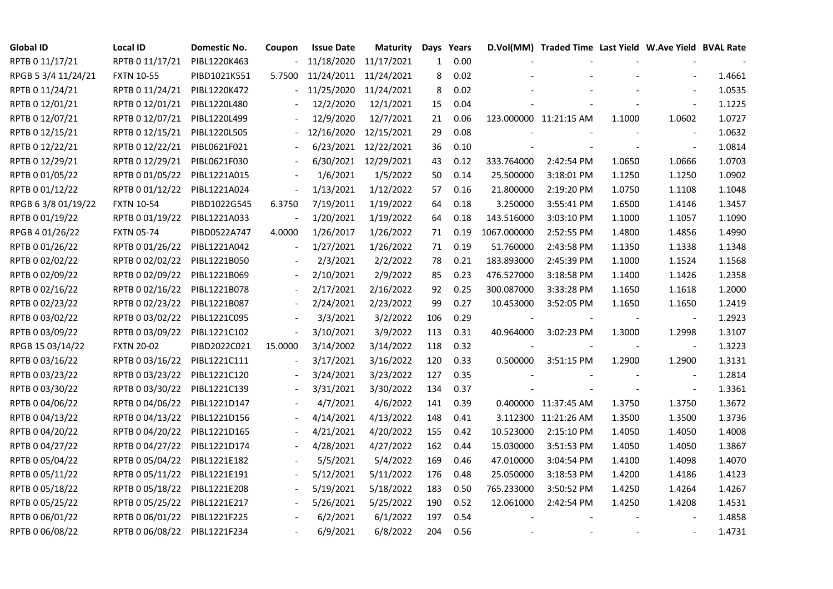| <b>Global ID</b>    | <b>Local ID</b>   | Domestic No. | Coupon                   | <b>Issue Date</b>     | <b>Maturity</b>       |     | Days Years |             | D.Vol(MM) Traded Time Last Yield W.Ave Yield BVAL Rate |        |                          |        |
|---------------------|-------------------|--------------|--------------------------|-----------------------|-----------------------|-----|------------|-------------|--------------------------------------------------------|--------|--------------------------|--------|
| RPTB 0 11/17/21     | RPTB 0 11/17/21   | PIBL1220K463 |                          | 11/18/2020            | 11/17/2021            | 1   | 0.00       |             |                                                        |        |                          |        |
| RPGB 5 3/4 11/24/21 | <b>FXTN 10-55</b> | PIBD1021K551 | 5.7500                   | 11/24/2011 11/24/2021 |                       | 8   | 0.02       |             |                                                        |        |                          | 1.4661 |
| RPTB 0 11/24/21     | RPTB 0 11/24/21   | PIBL1220K472 | $\overline{\phantom{0}}$ |                       | 11/25/2020 11/24/2021 | 8   | 0.02       |             |                                                        |        | $\overline{\phantom{a}}$ | 1.0535 |
| RPTB 0 12/01/21     | RPTB 0 12/01/21   | PIBL1220L480 |                          | 12/2/2020             | 12/1/2021             | 15  | 0.04       |             |                                                        |        | $\blacksquare$           | 1.1225 |
| RPTB 0 12/07/21     | RPTB 0 12/07/21   | PIBL1220L499 |                          | 12/9/2020             | 12/7/2021             | 21  | 0.06       |             | 123.000000 11:21:15 AM                                 | 1.1000 | 1.0602                   | 1.0727 |
| RPTB 0 12/15/21     | RPTB 0 12/15/21   | PIBL1220L505 |                          | 12/16/2020            | 12/15/2021            | 29  | 0.08       |             |                                                        |        | $\overline{\phantom{a}}$ | 1.0632 |
| RPTB 0 12/22/21     | RPTB 0 12/22/21   | PIBL0621F021 |                          |                       | 6/23/2021 12/22/2021  | 36  | 0.10       |             |                                                        |        | $\blacksquare$           | 1.0814 |
| RPTB 0 12/29/21     | RPTB 0 12/29/21   | PIBL0621F030 |                          | 6/30/2021             | 12/29/2021            | 43  | 0.12       | 333.764000  | 2:42:54 PM                                             | 1.0650 | 1.0666                   | 1.0703 |
| RPTB 0 01/05/22     | RPTB 0 01/05/22   | PIBL1221A015 |                          | 1/6/2021              | 1/5/2022              | 50  | 0.14       | 25.500000   | 3:18:01 PM                                             | 1.1250 | 1.1250                   | 1.0902 |
| RPTB 0 01/12/22     | RPTB 0 01/12/22   | PIBL1221A024 | $\overline{\phantom{a}}$ | 1/13/2021             | 1/12/2022             | 57  | 0.16       | 21.800000   | 2:19:20 PM                                             | 1.0750 | 1.1108                   | 1.1048 |
| RPGB 63/8 01/19/22  | <b>FXTN 10-54</b> | PIBD1022G545 | 6.3750                   | 7/19/2011             | 1/19/2022             | 64  | 0.18       | 3.250000    | 3:55:41 PM                                             | 1.6500 | 1.4146                   | 1.3457 |
| RPTB 0 01/19/22     | RPTB 0 01/19/22   | PIBL1221A033 |                          | 1/20/2021             | 1/19/2022             | 64  | 0.18       | 143.516000  | 3:03:10 PM                                             | 1.1000 | 1.1057                   | 1.1090 |
| RPGB 4 01/26/22     | <b>FXTN 05-74</b> | PIBD0522A747 | 4.0000                   | 1/26/2017             | 1/26/2022             | 71  | 0.19       | 1067.000000 | 2:52:55 PM                                             | 1.4800 | 1.4856                   | 1.4990 |
| RPTB 0 01/26/22     | RPTB 0 01/26/22   | PIBL1221A042 | $\blacksquare$           | 1/27/2021             | 1/26/2022             | 71  | 0.19       | 51.760000   | 2:43:58 PM                                             | 1.1350 | 1.1338                   | 1.1348 |
| RPTB 0 02/02/22     | RPTB 0 02/02/22   | PIBL1221B050 |                          | 2/3/2021              | 2/2/2022              | 78  | 0.21       | 183.893000  | 2:45:39 PM                                             | 1.1000 | 1.1524                   | 1.1568 |
| RPTB 0 02/09/22     | RPTB 0 02/09/22   | PIBL1221B069 |                          | 2/10/2021             | 2/9/2022              | 85  | 0.23       | 476.527000  | 3:18:58 PM                                             | 1.1400 | 1.1426                   | 1.2358 |
| RPTB 0 02/16/22     | RPTB 0 02/16/22   | PIBL1221B078 |                          | 2/17/2021             | 2/16/2022             | 92  | 0.25       | 300.087000  | 3:33:28 PM                                             | 1.1650 | 1.1618                   | 1.2000 |
| RPTB 0 02/23/22     | RPTB 0 02/23/22   | PIBL1221B087 | $\blacksquare$           | 2/24/2021             | 2/23/2022             | 99  | 0.27       | 10.453000   | 3:52:05 PM                                             | 1.1650 | 1.1650                   | 1.2419 |
| RPTB 0 03/02/22     | RPTB 0 03/02/22   | PIBL1221C095 |                          | 3/3/2021              | 3/2/2022              | 106 | 0.29       |             |                                                        |        | $\overline{\phantom{a}}$ | 1.2923 |
| RPTB 0 03/09/22     | RPTB 0 03/09/22   | PIBL1221C102 | $\frac{1}{2}$            | 3/10/2021             | 3/9/2022              | 113 | 0.31       | 40.964000   | 3:02:23 PM                                             | 1.3000 | 1.2998                   | 1.3107 |
| RPGB 15 03/14/22    | <b>FXTN 20-02</b> | PIBD2022C021 | 15.0000                  | 3/14/2002             | 3/14/2022             | 118 | 0.32       |             |                                                        |        | $\overline{\phantom{a}}$ | 1.3223 |
| RPTB 0 03/16/22     | RPTB 0 03/16/22   | PIBL1221C111 |                          | 3/17/2021             | 3/16/2022             | 120 | 0.33       | 0.500000    | 3:51:15 PM                                             | 1.2900 | 1.2900                   | 1.3131 |
| RPTB 0 03/23/22     | RPTB 0 03/23/22   | PIBL1221C120 |                          | 3/24/2021             | 3/23/2022             | 127 | 0.35       |             |                                                        |        |                          | 1.2814 |
| RPTB 0 03/30/22     | RPTB 0 03/30/22   | PIBL1221C139 |                          | 3/31/2021             | 3/30/2022             | 134 | 0.37       |             |                                                        |        | $\overline{\phantom{a}}$ | 1.3361 |
| RPTB 0 04/06/22     | RPTB 0 04/06/22   | PIBL1221D147 |                          | 4/7/2021              | 4/6/2022              | 141 | 0.39       |             | 0.400000 11:37:45 AM                                   | 1.3750 | 1.3750                   | 1.3672 |
| RPTB 0 04/13/22     | RPTB 0 04/13/22   | PIBL1221D156 |                          | 4/14/2021             | 4/13/2022             | 148 | 0.41       |             | 3.112300 11:21:26 AM                                   | 1.3500 | 1.3500                   | 1.3736 |
| RPTB 0 04/20/22     | RPTB 0 04/20/22   | PIBL1221D165 |                          | 4/21/2021             | 4/20/2022             | 155 | 0.42       | 10.523000   | 2:15:10 PM                                             | 1.4050 | 1.4050                   | 1.4008 |
| RPTB 0 04/27/22     | RPTB 0 04/27/22   | PIBL1221D174 |                          | 4/28/2021             | 4/27/2022             | 162 | 0.44       | 15.030000   | 3:51:53 PM                                             | 1.4050 | 1.4050                   | 1.3867 |
| RPTB 0 05/04/22     | RPTB 0 05/04/22   | PIBL1221E182 |                          | 5/5/2021              | 5/4/2022              | 169 | 0.46       | 47.010000   | 3:04:54 PM                                             | 1.4100 | 1.4098                   | 1.4070 |
| RPTB 0 05/11/22     | RPTB 0 05/11/22   | PIBL1221E191 |                          | 5/12/2021             | 5/11/2022             | 176 | 0.48       | 25.050000   | 3:18:53 PM                                             | 1.4200 | 1.4186                   | 1.4123 |
| RPTB 0 05/18/22     | RPTB 0 05/18/22   | PIBL1221E208 |                          | 5/19/2021             | 5/18/2022             | 183 | 0.50       | 765.233000  | 3:50:52 PM                                             | 1.4250 | 1.4264                   | 1.4267 |
| RPTB 0 05/25/22     | RPTB 0 05/25/22   | PIBL1221E217 |                          | 5/26/2021             | 5/25/2022             | 190 | 0.52       | 12.061000   | 2:42:54 PM                                             | 1.4250 | 1.4208                   | 1.4531 |
| RPTB 0 06/01/22     | RPTB 0 06/01/22   | PIBL1221F225 |                          | 6/2/2021              | 6/1/2022              | 197 | 0.54       |             |                                                        |        |                          | 1.4858 |
| RPTB 0 06/08/22     | RPTB 0 06/08/22   | PIBL1221F234 |                          | 6/9/2021              | 6/8/2022              | 204 | 0.56       |             |                                                        |        |                          | 1.4731 |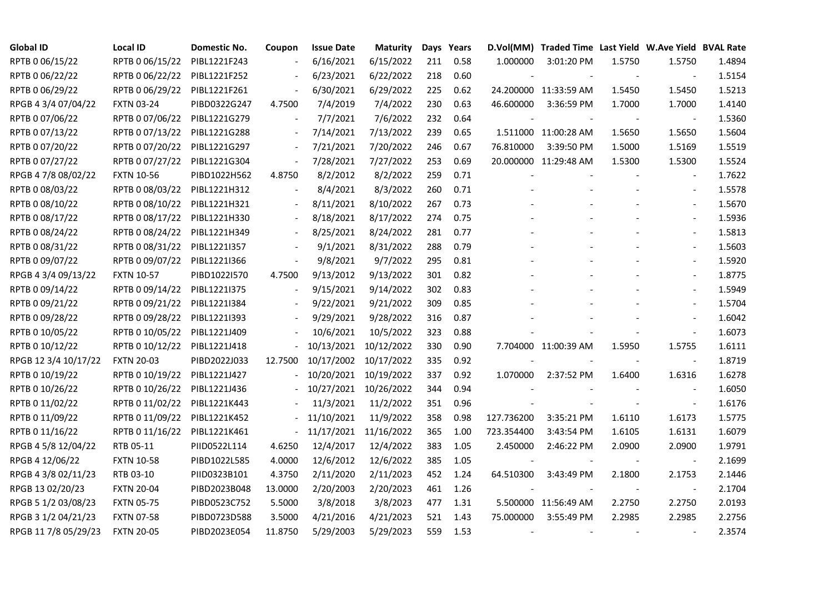| <b>Global ID</b>     | <b>Local ID</b>   | Domestic No. | Coupon                       | <b>Issue Date</b>     | <b>Maturity</b> |     | Days Years |                          | D.Vol(MM) Traded Time Last Yield W.Ave Yield BVAL Rate |        |                          |        |
|----------------------|-------------------|--------------|------------------------------|-----------------------|-----------------|-----|------------|--------------------------|--------------------------------------------------------|--------|--------------------------|--------|
| RPTB 0 06/15/22      | RPTB 0 06/15/22   | PIBL1221F243 |                              | 6/16/2021             | 6/15/2022       | 211 | 0.58       | 1.000000                 | 3:01:20 PM                                             | 1.5750 | 1.5750                   | 1.4894 |
| RPTB 0 06/22/22      | RPTB 0 06/22/22   | PIBL1221F252 |                              | 6/23/2021             | 6/22/2022       | 218 | 0.60       |                          |                                                        |        |                          | 1.5154 |
| RPTB 0 06/29/22      | RPTB 0 06/29/22   | PIBL1221F261 | $\overline{\phantom{a}}$     | 6/30/2021             | 6/29/2022       | 225 | 0.62       |                          | 24.200000 11:33:59 AM                                  | 1.5450 | 1.5450                   | 1.5213 |
| RPGB 4 3/4 07/04/22  | <b>FXTN 03-24</b> | PIBD0322G247 | 4.7500                       | 7/4/2019              | 7/4/2022        | 230 | 0.63       | 46.600000                | 3:36:59 PM                                             | 1.7000 | 1.7000                   | 1.4140 |
| RPTB 0 07/06/22      | RPTB 0 07/06/22   | PIBL1221G279 | $\blacksquare$               | 7/7/2021              | 7/6/2022        | 232 | 0.64       |                          |                                                        |        |                          | 1.5360 |
| RPTB 0 07/13/22      | RPTB 0 07/13/22   | PIBL1221G288 | $\blacksquare$               | 7/14/2021             | 7/13/2022       | 239 | 0.65       |                          | 1.511000 11:00:28 AM                                   | 1.5650 | 1.5650                   | 1.5604 |
| RPTB 0 07/20/22      | RPTB 0 07/20/22   | PIBL1221G297 | $\overline{\phantom{a}}$     | 7/21/2021             | 7/20/2022       | 246 | 0.67       | 76.810000                | 3:39:50 PM                                             | 1.5000 | 1.5169                   | 1.5519 |
| RPTB 0 07/27/22      | RPTB 0 07/27/22   | PIBL1221G304 | $\qquad \qquad \blacksquare$ | 7/28/2021             | 7/27/2022       | 253 | 0.69       |                          | 20.000000 11:29:48 AM                                  | 1.5300 | 1.5300                   | 1.5524 |
| RPGB 4 7/8 08/02/22  | <b>FXTN 10-56</b> | PIBD1022H562 | 4.8750                       | 8/2/2012              | 8/2/2022        | 259 | 0.71       |                          |                                                        |        |                          | 1.7622 |
| RPTB 0 08/03/22      | RPTB 0 08/03/22   | PIBL1221H312 | $\frac{1}{2}$                | 8/4/2021              | 8/3/2022        | 260 | 0.71       |                          |                                                        |        | $\overline{\phantom{a}}$ | 1.5578 |
| RPTB 0 08/10/22      | RPTB 0 08/10/22   | PIBL1221H321 | $\overline{\phantom{a}}$     | 8/11/2021             | 8/10/2022       | 267 | 0.73       |                          |                                                        |        | $\overline{\phantom{a}}$ | 1.5670 |
| RPTB 0 08/17/22      | RPTB 0 08/17/22   | PIBL1221H330 |                              | 8/18/2021             | 8/17/2022       | 274 | 0.75       |                          |                                                        |        |                          | 1.5936 |
| RPTB 0 08/24/22      | RPTB 0 08/24/22   | PIBL1221H349 |                              | 8/25/2021             | 8/24/2022       | 281 | 0.77       |                          |                                                        |        | $\overline{\phantom{a}}$ | 1.5813 |
| RPTB 0 08/31/22      | RPTB 0 08/31/22   | PIBL1221I357 |                              | 9/1/2021              | 8/31/2022       | 288 | 0.79       |                          |                                                        |        | $\blacksquare$           | 1.5603 |
| RPTB 0 09/07/22      | RPTB 0 09/07/22   | PIBL1221I366 |                              | 9/8/2021              | 9/7/2022        | 295 | 0.81       |                          |                                                        |        |                          | 1.5920 |
| RPGB 4 3/4 09/13/22  | <b>FXTN 10-57</b> | PIBD1022I570 | 4.7500                       | 9/13/2012             | 9/13/2022       | 301 | 0.82       |                          |                                                        |        |                          | 1.8775 |
| RPTB 0 09/14/22      | RPTB 0 09/14/22   | PIBL1221I375 | $\overline{\phantom{a}}$     | 9/15/2021             | 9/14/2022       | 302 | 0.83       |                          |                                                        |        |                          | 1.5949 |
| RPTB 0 09/21/22      | RPTB 0 09/21/22   | PIBL1221I384 | $\overline{\phantom{a}}$     | 9/22/2021             | 9/21/2022       | 309 | 0.85       |                          |                                                        |        | $\blacksquare$           | 1.5704 |
| RPTB 0 09/28/22      | RPTB 0 09/28/22   | PIBL1221I393 |                              | 9/29/2021             | 9/28/2022       | 316 | 0.87       |                          |                                                        |        |                          | 1.6042 |
| RPTB 0 10/05/22      | RPTB 0 10/05/22   | PIBL1221J409 |                              | 10/6/2021             | 10/5/2022       | 323 | 0.88       |                          |                                                        |        | $\blacksquare$           | 1.6073 |
| RPTB 0 10/12/22      | RPTB 0 10/12/22   | PIBL1221J418 |                              | 10/13/2021            | 10/12/2022      | 330 | 0.90       |                          | 7.704000 11:00:39 AM                                   | 1.5950 | 1.5755                   | 1.6111 |
| RPGB 12 3/4 10/17/22 | <b>FXTN 20-03</b> | PIBD2022J033 | 12.7500                      | 10/17/2002            | 10/17/2022      | 335 | 0.92       |                          |                                                        |        | $\blacksquare$           | 1.8719 |
| RPTB 0 10/19/22      | RPTB 0 10/19/22   | PIBL1221J427 |                              | 10/20/2021            | 10/19/2022      | 337 | 0.92       | 1.070000                 | 2:37:52 PM                                             | 1.6400 | 1.6316                   | 1.6278 |
| RPTB 0 10/26/22      | RPTB 0 10/26/22   | PIBL1221J436 |                              | 10/27/2021            | 10/26/2022      | 344 | 0.94       |                          |                                                        |        |                          | 1.6050 |
| RPTB 0 11/02/22      | RPTB 0 11/02/22   | PIBL1221K443 |                              | 11/3/2021             | 11/2/2022       | 351 | 0.96       |                          |                                                        |        | $\overline{\phantom{a}}$ | 1.6176 |
| RPTB 0 11/09/22      | RPTB 0 11/09/22   | PIBL1221K452 |                              | 11/10/2021            | 11/9/2022       | 358 | 0.98       | 127.736200               | 3:35:21 PM                                             | 1.6110 | 1.6173                   | 1.5775 |
| RPTB 0 11/16/22      | RPTB 0 11/16/22   | PIBL1221K461 | $\overline{\phantom{a}}$     | 11/17/2021 11/16/2022 |                 | 365 | 1.00       | 723.354400               | 3:43:54 PM                                             | 1.6105 | 1.6131                   | 1.6079 |
| RPGB 4 5/8 12/04/22  | RTB 05-11         | PIID0522L114 | 4.6250                       | 12/4/2017             | 12/4/2022       | 383 | 1.05       | 2.450000                 | 2:46:22 PM                                             | 2.0900 | 2.0900                   | 1.9791 |
| RPGB 4 12/06/22      | <b>FXTN 10-58</b> | PIBD1022L585 | 4.0000                       | 12/6/2012             | 12/6/2022       | 385 | 1.05       |                          |                                                        |        |                          | 2.1699 |
| RPGB 4 3/8 02/11/23  | RTB 03-10         | PIID0323B101 | 4.3750                       | 2/11/2020             | 2/11/2023       | 452 | 1.24       | 64.510300                | 3:43:49 PM                                             | 2.1800 | 2.1753                   | 2.1446 |
| RPGB 13 02/20/23     | <b>FXTN 20-04</b> | PIBD2023B048 | 13.0000                      | 2/20/2003             | 2/20/2023       | 461 | 1.26       |                          |                                                        |        |                          | 2.1704 |
| RPGB 5 1/2 03/08/23  | <b>FXTN 05-75</b> | PIBD0523C752 | 5.5000                       | 3/8/2018              | 3/8/2023        | 477 | 1.31       |                          | 5.500000 11:56:49 AM                                   | 2.2750 | 2.2750                   | 2.0193 |
| RPGB 3 1/2 04/21/23  | <b>FXTN 07-58</b> | PIBD0723D588 | 3.5000                       | 4/21/2016             | 4/21/2023       | 521 | 1.43       | 75.000000                | 3:55:49 PM                                             | 2.2985 | 2.2985                   | 2.2756 |
| RPGB 11 7/8 05/29/23 | <b>FXTN 20-05</b> | PIBD2023E054 | 11.8750                      | 5/29/2003             | 5/29/2023       | 559 | 1.53       | $\overline{\phantom{a}}$ |                                                        |        |                          | 2.3574 |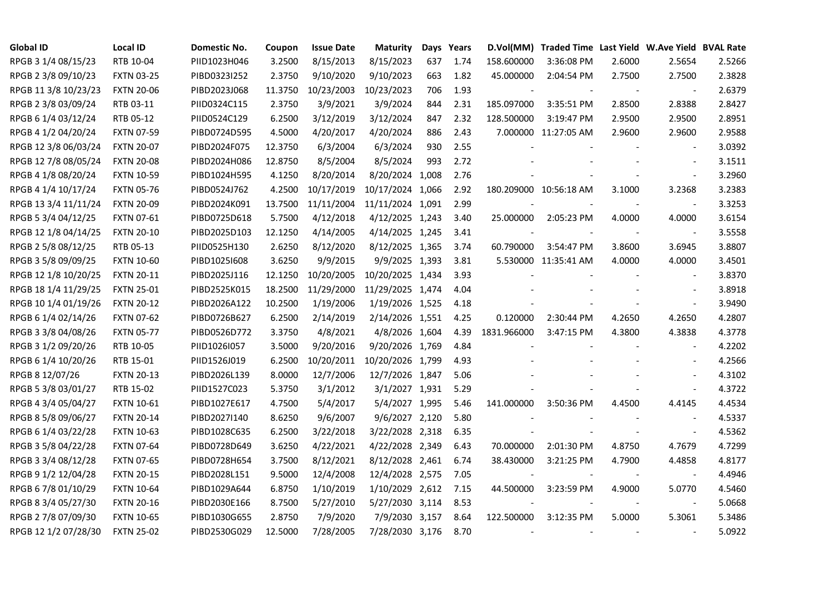| <b>Global ID</b>     | <b>Local ID</b>   | Domestic No. | Coupon  | <b>Issue Date</b> | <b>Maturity</b>  |     | Days Years | D.Vol(MM)                | Traded Time Last Yield W.Ave Yield BVAL Rate |        |                          |        |
|----------------------|-------------------|--------------|---------|-------------------|------------------|-----|------------|--------------------------|----------------------------------------------|--------|--------------------------|--------|
| RPGB 3 1/4 08/15/23  | RTB 10-04         | PIID1023H046 | 3.2500  | 8/15/2013         | 8/15/2023        | 637 | 1.74       | 158.600000               | 3:36:08 PM                                   | 2.6000 | 2.5654                   | 2.5266 |
| RPGB 2 3/8 09/10/23  | <b>FXTN 03-25</b> | PIBD0323I252 | 2.3750  | 9/10/2020         | 9/10/2023        | 663 | 1.82       | 45.000000                | 2:04:54 PM                                   | 2.7500 | 2.7500                   | 2.3828 |
| RPGB 11 3/8 10/23/23 | <b>FXTN 20-06</b> | PIBD2023J068 | 11.3750 | 10/23/2003        | 10/23/2023       | 706 | 1.93       |                          |                                              | $\sim$ | $\blacksquare$           | 2.6379 |
| RPGB 2 3/8 03/09/24  | RTB 03-11         | PIID0324C115 | 2.3750  | 3/9/2021          | 3/9/2024         | 844 | 2.31       | 185.097000               | 3:35:51 PM                                   | 2.8500 | 2.8388                   | 2.8427 |
| RPGB 6 1/4 03/12/24  | RTB 05-12         | PIID0524C129 | 6.2500  | 3/12/2019         | 3/12/2024        | 847 | 2.32       | 128.500000               | 3:19:47 PM                                   | 2.9500 | 2.9500                   | 2.8951 |
| RPGB 4 1/2 04/20/24  | <b>FXTN 07-59</b> | PIBD0724D595 | 4.5000  | 4/20/2017         | 4/20/2024        | 886 | 2.43       |                          | 7.000000 11:27:05 AM                         | 2.9600 | 2.9600                   | 2.9588 |
| RPGB 12 3/8 06/03/24 | <b>FXTN 20-07</b> | PIBD2024F075 | 12.3750 | 6/3/2004          | 6/3/2024         | 930 | 2.55       |                          |                                              |        | $\blacksquare$           | 3.0392 |
| RPGB 12 7/8 08/05/24 | <b>FXTN 20-08</b> | PIBD2024H086 | 12.8750 | 8/5/2004          | 8/5/2024         | 993 | 2.72       |                          |                                              |        | $\sim$                   | 3.1511 |
| RPGB 4 1/8 08/20/24  | <b>FXTN 10-59</b> | PIBD1024H595 | 4.1250  | 8/20/2014         | 8/20/2024 1,008  |     | 2.76       |                          |                                              |        | $\overline{\phantom{a}}$ | 3.2960 |
| RPGB 4 1/4 10/17/24  | <b>FXTN 05-76</b> | PIBD0524J762 | 4.2500  | 10/17/2019        | 10/17/2024 1,066 |     | 2.92       |                          | 180.209000 10:56:18 AM                       | 3.1000 | 3.2368                   | 3.2383 |
| RPGB 13 3/4 11/11/24 | <b>FXTN 20-09</b> | PIBD2024K091 | 13.7500 | 11/11/2004        | 11/11/2024 1,091 |     | 2.99       |                          |                                              | $\sim$ | $\blacksquare$           | 3.3253 |
| RPGB 5 3/4 04/12/25  | <b>FXTN 07-61</b> | PIBD0725D618 | 5.7500  | 4/12/2018         | 4/12/2025 1,243  |     | 3.40       | 25.000000                | 2:05:23 PM                                   | 4.0000 | 4.0000                   | 3.6154 |
| RPGB 12 1/8 04/14/25 | <b>FXTN 20-10</b> | PIBD2025D103 | 12.1250 | 4/14/2005         | 4/14/2025 1,245  |     | 3.41       |                          |                                              |        | $\blacksquare$           | 3.5558 |
| RPGB 2 5/8 08/12/25  | RTB 05-13         | PIID0525H130 | 2.6250  | 8/12/2020         | 8/12/2025 1,365  |     | 3.74       | 60.790000                | 3:54:47 PM                                   | 3.8600 | 3.6945                   | 3.8807 |
| RPGB 3 5/8 09/09/25  | <b>FXTN 10-60</b> | PIBD10251608 | 3.6250  | 9/9/2015          | 9/9/2025 1,393   |     | 3.81       |                          | 5.530000 11:35:41 AM                         | 4.0000 | 4.0000                   | 3.4501 |
| RPGB 12 1/8 10/20/25 | <b>FXTN 20-11</b> | PIBD2025J116 | 12.1250 | 10/20/2005        | 10/20/2025 1,434 |     | 3.93       |                          |                                              |        |                          | 3.8370 |
| RPGB 18 1/4 11/29/25 | <b>FXTN 25-01</b> | PIBD2525K015 | 18.2500 | 11/29/2000        | 11/29/2025 1,474 |     | 4.04       |                          |                                              |        | $\sim$                   | 3.8918 |
| RPGB 10 1/4 01/19/26 | <b>FXTN 20-12</b> | PIBD2026A122 | 10.2500 | 1/19/2006         | 1/19/2026 1,525  |     | 4.18       |                          |                                              |        | $\blacksquare$           | 3.9490 |
| RPGB 6 1/4 02/14/26  | <b>FXTN 07-62</b> | PIBD0726B627 | 6.2500  | 2/14/2019         | 2/14/2026 1,551  |     | 4.25       | 0.120000                 | 2:30:44 PM                                   | 4.2650 | 4.2650                   | 4.2807 |
| RPGB 3 3/8 04/08/26  | <b>FXTN 05-77</b> | PIBD0526D772 | 3.3750  | 4/8/2021          | 4/8/2026 1,604   |     | 4.39       | 1831.966000              | 3:47:15 PM                                   | 4.3800 | 4.3838                   | 4.3778 |
| RPGB 3 1/2 09/20/26  | RTB 10-05         | PIID1026I057 | 3.5000  | 9/20/2016         | 9/20/2026 1,769  |     | 4.84       |                          |                                              |        | $\blacksquare$           | 4.2202 |
| RPGB 6 1/4 10/20/26  | RTB 15-01         | PIID1526J019 | 6.2500  | 10/20/2011        | 10/20/2026 1,799 |     | 4.93       |                          |                                              |        | $\blacksquare$           | 4.2566 |
| RPGB 8 12/07/26      | <b>FXTN 20-13</b> | PIBD2026L139 | 8.0000  | 12/7/2006         | 12/7/2026 1,847  |     | 5.06       |                          |                                              |        |                          | 4.3102 |
| RPGB 5 3/8 03/01/27  | RTB 15-02         | PIID1527C023 | 5.3750  | 3/1/2012          | 3/1/2027 1,931   |     | 5.29       |                          |                                              |        | $\overline{\phantom{a}}$ | 4.3722 |
| RPGB 4 3/4 05/04/27  | <b>FXTN 10-61</b> | PIBD1027E617 | 4.7500  | 5/4/2017          | 5/4/2027 1,995   |     | 5.46       | 141.000000               | 3:50:36 PM                                   | 4.4500 | 4.4145                   | 4.4534 |
| RPGB 8 5/8 09/06/27  | <b>FXTN 20-14</b> | PIBD2027I140 | 8.6250  | 9/6/2007          | 9/6/2027 2,120   |     | 5.80       |                          |                                              |        | $\blacksquare$           | 4.5337 |
| RPGB 6 1/4 03/22/28  | <b>FXTN 10-63</b> | PIBD1028C635 | 6.2500  | 3/22/2018         | 3/22/2028 2,318  |     | 6.35       |                          |                                              |        | $\omega$                 | 4.5362 |
| RPGB 3 5/8 04/22/28  | <b>FXTN 07-64</b> | PIBD0728D649 | 3.6250  | 4/22/2021         | 4/22/2028 2,349  |     | 6.43       | 70.000000                | 2:01:30 PM                                   | 4.8750 | 4.7679                   | 4.7299 |
| RPGB 3 3/4 08/12/28  | <b>FXTN 07-65</b> | PIBD0728H654 | 3.7500  | 8/12/2021         | 8/12/2028 2,461  |     | 6.74       | 38.430000                | 3:21:25 PM                                   | 4.7900 | 4.4858                   | 4.8177 |
| RPGB 9 1/2 12/04/28  | <b>FXTN 20-15</b> | PIBD2028L151 | 9.5000  | 12/4/2008         | 12/4/2028 2,575  |     | 7.05       |                          |                                              |        |                          | 4.4946 |
| RPGB 67/8 01/10/29   | <b>FXTN 10-64</b> | PIBD1029A644 | 6.8750  | 1/10/2019         | 1/10/2029 2,612  |     | 7.15       | 44.500000                | 3:23:59 PM                                   | 4.9000 | 5.0770                   | 4.5460 |
| RPGB 8 3/4 05/27/30  | <b>FXTN 20-16</b> | PIBD2030E166 | 8.7500  | 5/27/2010         | 5/27/2030 3,114  |     | 8.53       |                          |                                              |        | $\overline{\phantom{a}}$ | 5.0668 |
| RPGB 2 7/8 07/09/30  | <b>FXTN 10-65</b> | PIBD1030G655 | 2.8750  | 7/9/2020          | 7/9/2030 3,157   |     | 8.64       | 122.500000               | 3:12:35 PM                                   | 5.0000 | 5.3061                   | 5.3486 |
| RPGB 12 1/2 07/28/30 | <b>FXTN 25-02</b> | PIBD2530G029 | 12.5000 | 7/28/2005         | 7/28/2030 3,176  |     | 8.70       | $\overline{\phantom{a}}$ |                                              |        | $\sim$                   | 5.0922 |